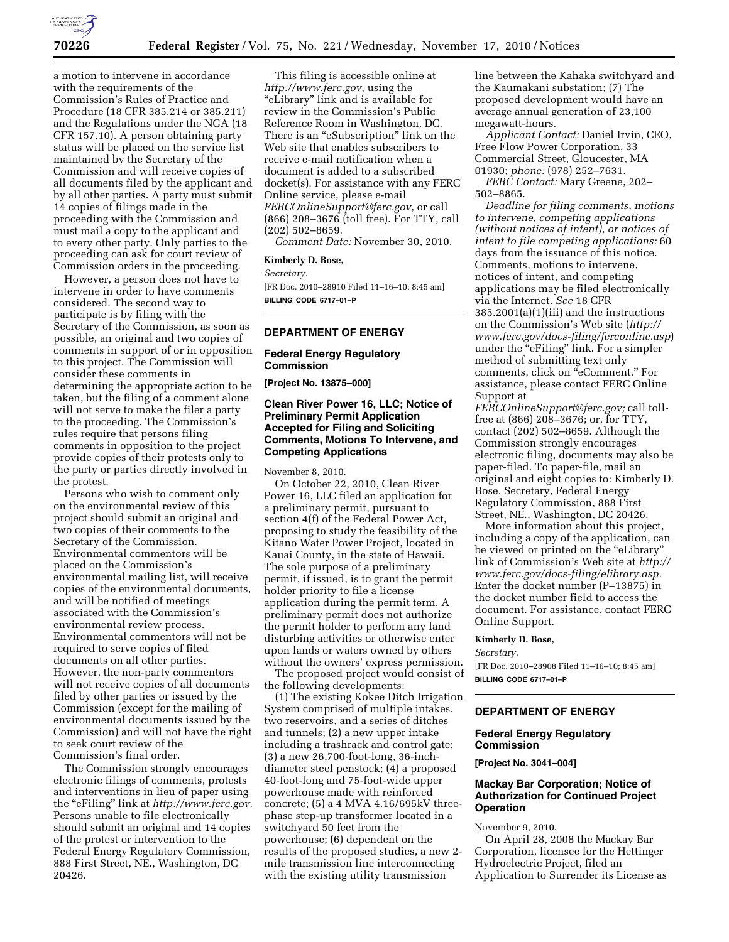

a motion to intervene in accordance with the requirements of the Commission's Rules of Practice and Procedure (18 CFR 385.214 or 385.211) and the Regulations under the NGA (18 CFR 157.10). A person obtaining party status will be placed on the service list maintained by the Secretary of the Commission and will receive copies of all documents filed by the applicant and by all other parties. A party must submit 14 copies of filings made in the proceeding with the Commission and must mail a copy to the applicant and to every other party. Only parties to the proceeding can ask for court review of Commission orders in the proceeding.

However, a person does not have to intervene in order to have comments considered. The second way to participate is by filing with the Secretary of the Commission, as soon as possible, an original and two copies of comments in support of or in opposition to this project. The Commission will consider these comments in determining the appropriate action to be taken, but the filing of a comment alone will not serve to make the filer a party to the proceeding. The Commission's rules require that persons filing comments in opposition to the project provide copies of their protests only to the party or parties directly involved in the protest.

Persons who wish to comment only on the environmental review of this project should submit an original and two copies of their comments to the Secretary of the Commission. Environmental commentors will be placed on the Commission's environmental mailing list, will receive copies of the environmental documents, and will be notified of meetings associated with the Commission's environmental review process. Environmental commentors will not be required to serve copies of filed documents on all other parties. However, the non-party commentors will not receive copies of all documents filed by other parties or issued by the Commission (except for the mailing of environmental documents issued by the Commission) and will not have the right to seek court review of the Commission's final order.

The Commission strongly encourages electronic filings of comments, protests and interventions in lieu of paper using the ''eFiling'' link at *[http://www.ferc.gov.](http://www.ferc.gov)*  Persons unable to file electronically should submit an original and 14 copies of the protest or intervention to the Federal Energy Regulatory Commission, 888 First Street, NE., Washington, DC 20426.

This filing is accessible online at *<http://www.ferc.gov>*, using the ''eLibrary'' link and is available for review in the Commission's Public Reference Room in Washington, DC. There is an "eSubscription" link on the Web site that enables subscribers to receive e-mail notification when a document is added to a subscribed docket(s). For assistance with any FERC Online service, please e-mail *[FERCOnlineSupport@ferc.gov](mailto:FERCOnlineSupport@ferc.gov)*, or call (866) 208–3676 (toll free). For TTY, call (202) 502–8659.

*Comment Date:* November 30, 2010.

#### **Kimberly D. Bose,**

*Secretary.* 

[FR Doc. 2010–28910 Filed 11–16–10; 8:45 am] **BILLING CODE 6717–01–P** 

### **DEPARTMENT OF ENERGY**

### **Federal Energy Regulatory Commission**

**[Project No. 13875–000]** 

# **Clean River Power 16, LLC; Notice of Preliminary Permit Application Accepted for Filing and Soliciting Comments, Motions To Intervene, and Competing Applications**

November 8, 2010.

On October 22, 2010, Clean River Power 16, LLC filed an application for a preliminary permit, pursuant to section 4(f) of the Federal Power Act, proposing to study the feasibility of the Kitano Water Power Project, located in Kauai County, in the state of Hawaii. The sole purpose of a preliminary permit, if issued, is to grant the permit holder priority to file a license application during the permit term. A preliminary permit does not authorize the permit holder to perform any land disturbing activities or otherwise enter upon lands or waters owned by others without the owners' express permission.

The proposed project would consist of the following developments:

(1) The existing Kokee Ditch Irrigation System comprised of multiple intakes, two reservoirs, and a series of ditches and tunnels; (2) a new upper intake including a trashrack and control gate; (3) a new 26,700-foot-long, 36-inchdiameter steel penstock; (4) a proposed 40-foot-long and 75-foot-wide upper powerhouse made with reinforced concrete;  $(5)$  a 4 MVA 4.16/695 $kV$  threephase step-up transformer located in a switchyard 50 feet from the powerhouse; (6) dependent on the results of the proposed studies, a new 2 mile transmission line interconnecting with the existing utility transmission

line between the Kahaka switchyard and the Kaumakani substation; (7) The proposed development would have an average annual generation of 23,100 megawatt-hours.

*Applicant Contact:* Daniel Irvin, CEO, Free Flow Power Corporation, 33 Commercial Street, Gloucester, MA 01930; *phone:* (978) 252–7631.

*FERC Contact:* Mary Greene, 202– 502–8865.

*Deadline for filing comments, motions to intervene, competing applications (without notices of intent), or notices of intent to file competing applications:* 60 days from the issuance of this notice. Comments, motions to intervene, notices of intent, and competing applications may be filed electronically via the Internet. *See* 18 CFR 385.2001(a)(1)(iii) and the instructions on the Commission's Web site (*[http://](http://www.ferc.gov/docs-filing/ferconline.asp) [www.ferc.gov/docs-filing/ferconline.asp](http://www.ferc.gov/docs-filing/ferconline.asp)*) under the "eFiling" link. For a simpler method of submitting text only comments, click on "eComment." For assistance, please contact FERC Online Support at

*[FERCOnlineSupport@ferc.gov;](mailto:FERCOnlineSupport@ferc.gov)* call tollfree at (866) 208–3676; or, for TTY, contact (202) 502–8659. Although the Commission strongly encourages electronic filing, documents may also be paper-filed. To paper-file, mail an original and eight copies to: Kimberly D. Bose, Secretary, Federal Energy Regulatory Commission, 888 First Street, NE., Washington, DC 20426.

More information about this project, including a copy of the application, can be viewed or printed on the "eLibrary" link of Commission's Web site at *[http://](http://www.ferc.gov/docs-filing/elibrary.asp) [www.ferc.gov/docs-filing/elibrary.asp.](http://www.ferc.gov/docs-filing/elibrary.asp)*  Enter the docket number (P–13875) in the docket number field to access the document. For assistance, contact FERC Online Support.

#### **Kimberly D. Bose,**

*Secretary.* 

[FR Doc. 2010–28908 Filed 11–16–10; 8:45 am] **BILLING CODE 6717–01–P** 

# **DEPARTMENT OF ENERGY**

### **Federal Energy Regulatory Commission**

**[Project No. 3041–004]** 

# **Mackay Bar Corporation; Notice of Authorization for Continued Project Operation**

November 9, 2010.

On April 28, 2008 the Mackay Bar Corporation, licensee for the Hettinger Hydroelectric Project, filed an Application to Surrender its License as